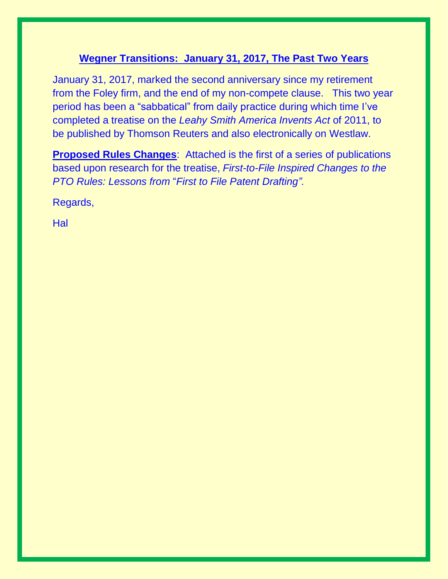# **Wegner Transitions: January 31, 2017, The Past Two Years**

January 31, 2017, marked the second anniversary since my retirement from the Foley firm, and the end of my non-compete clause. This two year period has been a "sabbatical" from daily practice during which time I've completed a treatise on the *Leahy Smith America Invents Act* of 2011, to be published by Thomson Reuters and also electronically on Westlaw.

**Proposed Rules Changes**: Attached is the first of a series of publications based upon research for the treatise, *First-to-File Inspired Changes to the PTO Rules: Lessons from* "*First to File Patent Drafting".*

Regards,

**Hal**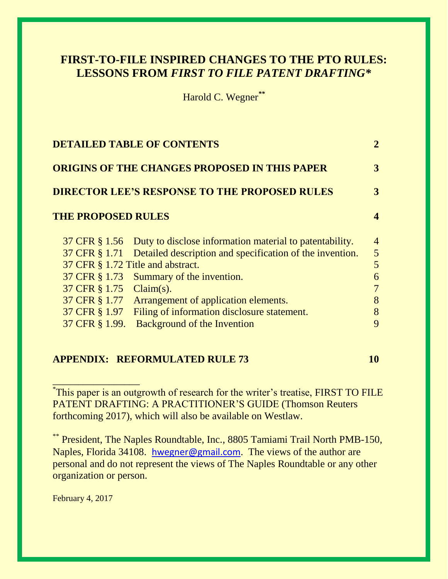# **FIRST-TO-FILE INSPIRED CHANGES TO THE PTO RULES: LESSONS FROM** *FIRST TO FILE PATENT DRAFTING\**

Harold C. Wegner*\*\**

|                           | <b>DETAILED TABLE OF CONTENTS</b>                                      | 2              |
|---------------------------|------------------------------------------------------------------------|----------------|
|                           | ORIGINS OF THE CHANGES PROPOSED IN THIS PAPER                          | 3              |
|                           | <b>DIRECTOR LEE'S RESPONSE TO THE PROPOSED RULES</b>                   | 3              |
| <b>THE PROPOSED RULES</b> |                                                                        | 4              |
|                           | 37 CFR § 1.56 Duty to disclose information material to patentability.  | $\overline{4}$ |
|                           | 37 CFR § 1.71 Detailed description and specification of the invention. | 5 <sup>5</sup> |
|                           | 37 CFR § 1.72 Title and abstract.                                      | 5              |
|                           | 37 CFR § 1.73 Summary of the invention.                                | 6              |
| 37 CFR § 1.75 Claim(s).   |                                                                        | 7              |
|                           | 37 CFR § 1.77 Arrangement of application elements.                     | 8              |
| 37 CFR § 1.97             | Filing of information disclosure statement.                            | 8              |
| 37 CFR § 1.99.            | <b>Background of the Invention</b>                                     | 9              |
|                           |                                                                        |                |

# **APPENDIX: REFORMULATED RULE 73** 10

\* This paper is an outgrowth of research for the writer's treatise, FIRST TO FILE PATENT DRAFTING: A PRACTITIONER'S GUIDE (Thomson Reuters forthcoming 2017), which will also be available on Westlaw.

\*\* President, The Naples Roundtable, Inc., 8805 Tamiami Trail North PMB-150, Naples, Florida 34108. [hwegner@gmail.com](mailto:hwegner@gmail.com). The views of the author are personal and do not represent the views of The Naples Roundtable or any other organization or person.

February 4, 2017

\_\_\_\_\_\_\_\_\_\_\_\_\_\_\_\_\_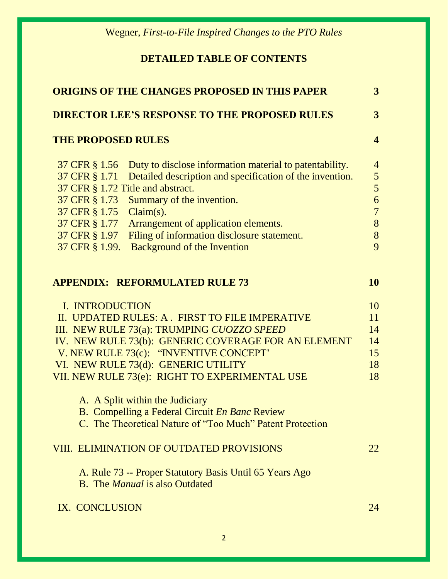# **DETAILED TABLE OF CONTENTS**

| <b>ORIGINS OF THE CHANGES PROPOSED IN THIS PAPER</b> |                                                           |                         |
|------------------------------------------------------|-----------------------------------------------------------|-------------------------|
|                                                      | <b>DIRECTOR LEE'S RESPONSE TO THE PROPOSED RULES</b>      | $\overline{3}$          |
| <b>THE PROPOSED RULES</b>                            |                                                           | $\overline{\mathbf{4}}$ |
| 37 CFR § 1.56                                        | Duty to disclose information material to patentability.   | $\overline{4}$          |
| 37 CFR § 1.71                                        | Detailed description and specification of the invention.  | 5                       |
| 37 CFR § 1.72 Title and abstract.                    |                                                           | $5\overline{)}$         |
| 37 CFR § 1.73                                        | Summary of the invention.                                 | 6                       |
| 37 CFR § 1.75                                        | $Claim(s)$ .                                              | $\overline{7}$          |
| 37 CFR § 1.77                                        | Arrangement of application elements.                      | 8                       |
| 37 CFR § 1.97                                        | Filing of information disclosure statement.               | 8                       |
| 37 CFR § 1.99.                                       | <b>Background of the Invention</b>                        | 9                       |
|                                                      | <b>APPENDIX: REFORMULATED RULE 73</b>                     | 10                      |
| I. INTRODUCTION                                      |                                                           | 10                      |
|                                                      | II. UPDATED RULES: A. FIRST TO FILE IMPERATIVE            | 11                      |
|                                                      | III. NEW RULE 73(a): TRUMPING CUOZZO SPEED                | 14                      |
|                                                      | IV. NEW RULE 73(b): GENERIC COVERAGE FOR AN ELEMENT       | 14                      |
|                                                      | V. NEW RULE 73(c): "INVENTIVE CONCEPT"                    | 15                      |
|                                                      | VI. NEW RULE 73(d): GENERIC UTILITY                       | 18                      |
|                                                      | VII. NEW RULE 73(e): RIGHT TO EXPERIMENTAL USE            | 18                      |
|                                                      | A. A Split within the Judiciary                           |                         |
|                                                      | B. Compelling a Federal Circuit En Banc Review            |                         |
|                                                      | C. The Theoretical Nature of "Too Much" Patent Protection |                         |
|                                                      | <b>VIII. ELIMINATION OF OUTDATED PROVISIONS</b>           | 22                      |
|                                                      | A. Rule 73 -- Proper Statutory Basis Until 65 Years Ago   |                         |
|                                                      | <b>B.</b> The <i>Manual</i> is also Outdated              |                         |
| IX. CONCLUSION                                       |                                                           | 24                      |
|                                                      |                                                           |                         |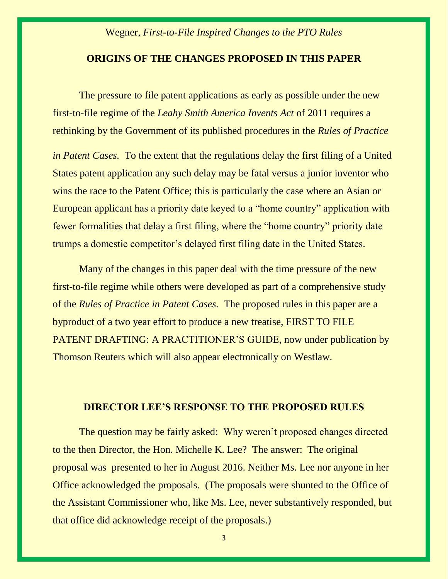#### **ORIGINS OF THE CHANGES PROPOSED IN THIS PAPER**

The pressure to file patent applications as early as possible under the new first-to-file regime of the *Leahy Smith America Invents Act* of 2011 requires a rethinking by the Government of its published procedures in the *Rules of Practice* 

*in Patent Cases.* To the extent that the regulations delay the first filing of a United States patent application any such delay may be fatal versus a junior inventor who wins the race to the Patent Office; this is particularly the case where an Asian or European applicant has a priority date keyed to a "home country" application with fewer formalities that delay a first filing, where the "home country" priority date trumps a domestic competitor's delayed first filing date in the United States.

Many of the changes in this paper deal with the time pressure of the new first-to-file regime while others were developed as part of a comprehensive study of the *Rules of Practice in Patent Cases.* The proposed rules in this paper are a byproduct of a two year effort to produce a new treatise, FIRST TO FILE PATENT DRAFTING: A PRACTITIONER'S GUIDE, now under publication by Thomson Reuters which will also appear electronically on Westlaw.

# **DIRECTOR LEE'S RESPONSE TO THE PROPOSED RULES**

The question may be fairly asked: Why weren't proposed changes directed to the then Director, the Hon. Michelle K. Lee? The answer: The original proposal was presented to her in August 2016. Neither Ms. Lee nor anyone in her Office acknowledged the proposals. (The proposals were shunted to the Office of the Assistant Commissioner who, like Ms. Lee, never substantively responded, but that office did acknowledge receipt of the proposals.)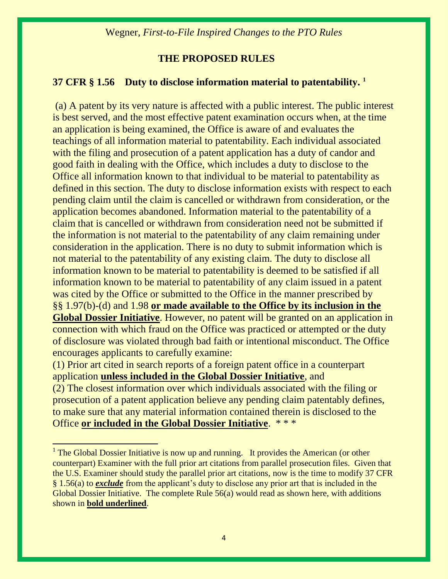# **THE PROPOSED RULES**

### **37 CFR § 1.56 Duty to disclose information material to patentability. <sup>1</sup>**

(a) A patent by its very nature is affected with a public interest. The public interest is best served, and the most effective patent examination occurs when, at the time an application is being examined, the Office is aware of and evaluates the teachings of all information material to patentability. Each individual associated with the filing and prosecution of a patent application has a duty of candor and good faith in dealing with the Office, which includes a duty to disclose to the Office all information known to that individual to be material to patentability as defined in this section. The duty to disclose information exists with respect to each pending claim until the claim is cancelled or withdrawn from consideration, or the application becomes abandoned. Information material to the patentability of a claim that is cancelled or withdrawn from consideration need not be submitted if the information is not material to the patentability of any claim remaining under consideration in the application. There is no duty to submit information which is not material to the patentability of any existing claim. The duty to disclose all information known to be material to patentability is deemed to be satisfied if all information known to be material to patentability of any claim issued in a patent was cited by the Office or submitted to the Office in the manner prescribed by §§ 1.97(b)-(d) and 1.98 **or made available to the Office by its inclusion in the Global Dossier Initiative**. However, no patent will be granted on an application in connection with which fraud on the Office was practiced or attempted or the duty of disclosure was violated through bad faith or intentional misconduct. The Office encourages applicants to carefully examine:

(1) Prior art cited in search reports of a foreign patent office in a counterpart application **unless included in the Global Dossier Initiative**, and (2) The closest information over which individuals associated with the filing or prosecution of a patent application believe any pending claim patentably defines, to make sure that any material information contained therein is disclosed to the Office **or included in the Global Dossier Initiative**. \* \* \*

 $\overline{a}$ 

<sup>&</sup>lt;sup>1</sup> The Global Dossier Initiative is now up and running. It provides the American (or other counterpart) Examiner with the full prior art citations from parallel prosecution files. Given that the U.S. Examiner should study the parallel prior art citations, now is the time to modify 37 CFR § 1.56(a) to *exclude* from the applicant's duty to disclose any prior art that is included in the Global Dossier Initiative. The complete Rule 56(a) would read as shown here, with additions shown in **bold underlined**.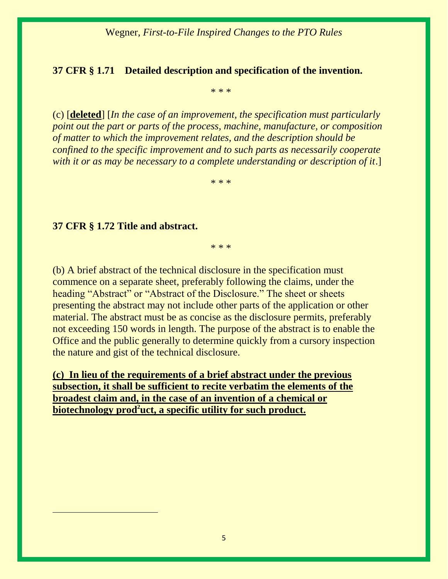# **37 CFR § 1.71 Detailed description and specification of the invention.**

\* \* \*

(c) [**deleted**] [*In the case of an improvement, the specification must particularly point out the part or parts of the process, machine, manufacture, or composition of matter to which the improvement relates, and the description should be confined to the specific improvement and to such parts as necessarily cooperate with it or as may be necessary to a complete understanding or description of it*.]

\* \* \*

#### **37 CFR § 1.72 Title and abstract.**

 $\overline{a}$ 

\* \* \*

(b) A brief abstract of the technical disclosure in the specification must commence on a separate sheet, preferably following the claims, under the heading "Abstract" or "Abstract of the Disclosure." The sheet or sheets presenting the abstract may not include other parts of the application or other material. The abstract must be as concise as the disclosure permits, preferably not exceeding 150 words in length. The purpose of the abstract is to enable the Office and the public generally to determine quickly from a cursory inspection the nature and gist of the technical disclosure.

**(c) In lieu of the requirements of a brief abstract under the previous subsection, it shall be sufficient to recite verbatim the elements of the broadest claim and, in the case of an invention of a chemical or biotechnology prod<sup>2</sup>uct, a specific utility for such product.**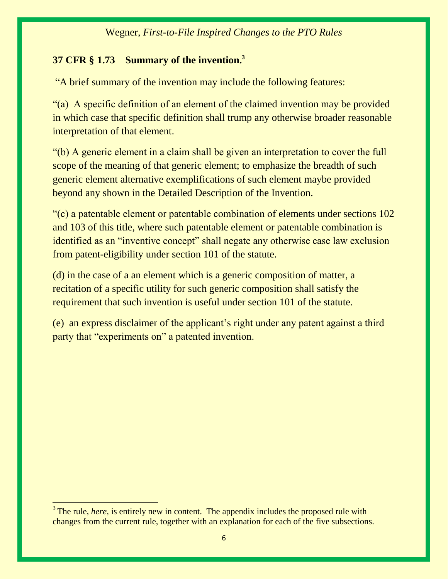# **37 CFR § 1.73 Summary of the invention.<sup>3</sup>**

"A brief summary of the invention may include the following features:

"(a) A specific definition of an element of the claimed invention may be provided in which case that specific definition shall trump any otherwise broader reasonable interpretation of that element.

"(b) A generic element in a claim shall be given an interpretation to cover the full scope of the meaning of that generic element; to emphasize the breadth of such generic element alternative exemplifications of such element maybe provided beyond any shown in the Detailed Description of the Invention.

"(c) a patentable element or patentable combination of elements under sections 102 and 103 of this title, where such patentable element or patentable combination is identified as an "inventive concept" shall negate any otherwise case law exclusion from patent-eligibility under section 101 of the statute.

(d) in the case of a an element which is a generic composition of matter, a recitation of a specific utility for such generic composition shall satisfy the requirement that such invention is useful under section 101 of the statute.

(e) an express disclaimer of the applicant's right under any patent against a third party that "experiments on" a patented invention.

 $\overline{a}$ 

<sup>&</sup>lt;sup>3</sup> The rule, *here*, is entirely new in content. The appendix includes the proposed rule with changes from the current rule, together with an explanation for each of the five subsections.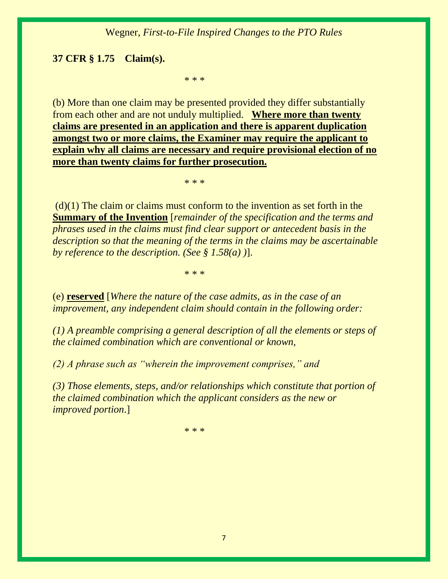#### **37 CFR § 1.75 Claim(s).**

\* \* \*

(b) More than one claim may be presented provided they differ substantially from each other and are not unduly multiplied. **Where more than twenty claims are presented in an application and there is apparent duplication amongst two or more claims, the Examiner may require the applicant to explain why all claims are necessary and require provisional election of no more than twenty claims for further prosecution.** 

\* \* \*

 $(d)(1)$  The claim or claims must conform to the invention as set forth in the **Summary of the Invention** [*remainder of the specification and the terms and phrases used in the claims must find clear support or antecedent basis in the description so that the meaning of the terms in the claims may be ascertainable by reference to the description. (See § 1.58(a) )*].

\* \* \*

(e) **reserved** [*Where the nature of the case admits, as in the case of an improvement, any independent claim should contain in the following order:* 

*(1) A preamble comprising a general description of all the elements or steps of the claimed combination which are conventional or known,* 

*(2) A phrase such as "wherein the improvement comprises," and* 

*(3) Those elements, steps, and/or relationships which constitute that portion of the claimed combination which the applicant considers as the new or improved portion*.]

\* \* \*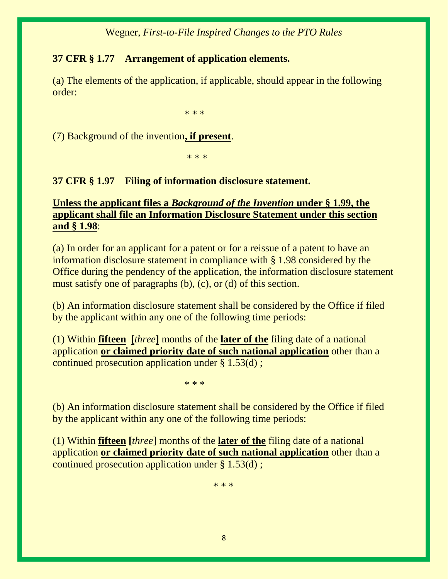# **37 CFR § 1.77 Arrangement of application elements.**

(a) The elements of the application, if applicable, should appear in the following order:

\* \* \*

(7) Background of the invention**, if present**.

\* \* \*

# **37 CFR § 1.97 Filing of information disclosure statement.**

# **Unless the applicant files a** *Background of the Invention* **under § 1.99, the applicant shall file an Information Disclosure Statement under this section and § 1.98**:

(a) In order for an applicant for a patent or for a reissue of a patent to have an information disclosure statement in compliance with § 1.98 considered by the Office during the pendency of the application, the information disclosure statement must satisfy one of paragraphs (b), (c), or (d) of this section.

(b) An information disclosure statement shall be considered by the Office if filed by the applicant within any one of the following time periods:

(1) Within **fifteen [***three***]** months of the **later of the** filing date of a national application **or claimed priority date of such national application** other than a continued prosecution application under § 1.53(d) ;

\* \* \*

(b) An information disclosure statement shall be considered by the Office if filed by the applicant within any one of the following time periods:

(1) Within **fifteen [***three*] months of the **later of the** filing date of a national application **or claimed priority date of such national application** other than a continued prosecution application under § 1.53(d) ;

\* \* \*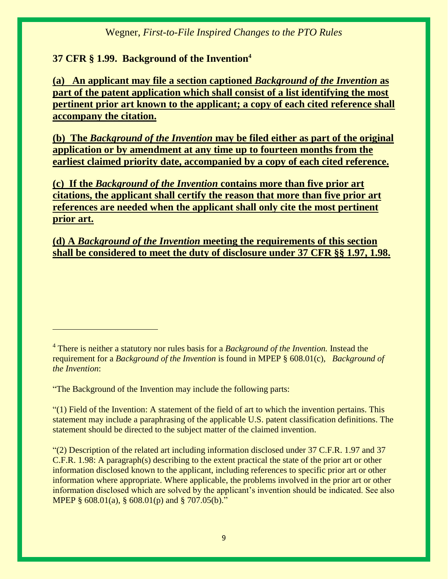# **37 CFR § 1.99. Background of the Invention<sup>4</sup>**

**(a) An applicant may file a section captioned** *Background of the Invention* **as part of the patent application which shall consist of a list identifying the most pertinent prior art known to the applicant; a copy of each cited reference shall accompany the citation.**

**(b) The** *Background of the Invention* **may be filed either as part of the original application or by amendment at any time up to fourteen months from the earliest claimed priority date, accompanied by a copy of each cited reference.**

**(c) If the** *Background of the Invention* **contains more than five prior art citations, the applicant shall certify the reason that more than five prior art references are needed when the applicant shall only cite the most pertinent prior art.**

**(d) A** *Background of the Invention* **meeting the requirements of this section shall be considered to meet the duty of disclosure under 37 CFR §§ 1.97, 1.98.**

"The Background of the Invention may include the following parts:

"(1) Field of the Invention: A statement of the field of art to which the invention pertains. This statement may include a paraphrasing of the applicable U.S. patent classification definitions. The statement should be directed to the subject matter of the claimed invention.

"(2) Description of the related art including information disclosed under 37 C.F.R. 1.97 and 37 C.F.R. 1.98: A paragraph(s) describing to the extent practical the state of the prior art or other information disclosed known to the applicant, including references to specific prior art or other information where appropriate. Where applicable, the problems involved in the prior art or other information disclosed which are solved by the applicant's invention should be indicated. See also MPEP § 608.01(a), § 608.01(p) and § 707.05(b)."

<sup>4</sup> There is neither a statutory nor rules basis for a *Background of the Invention.* Instead the requirement for a *Background of the Invention* is found in MPEP § 608.01(c), *Background of the Invention*: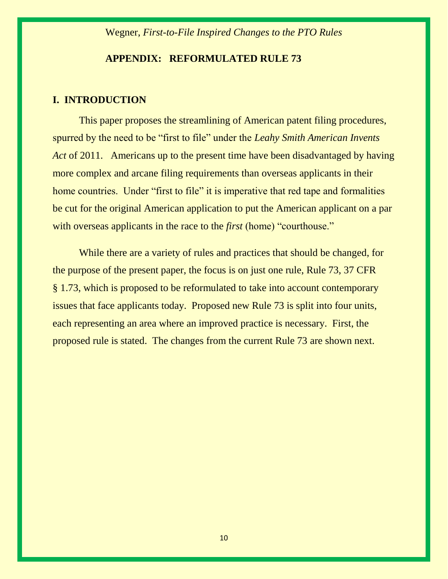#### **APPENDIX: REFORMULATED RULE 73**

#### **I. INTRODUCTION**

This paper proposes the streamlining of American patent filing procedures, spurred by the need to be "first to file" under the *Leahy Smith American Invents Act* of 2011. Americans up to the present time have been disadvantaged by having more complex and arcane filing requirements than overseas applicants in their home countries. Under "first to file" it is imperative that red tape and formalities be cut for the original American application to put the American applicant on a par with overseas applicants in the race to the *first* (home) "courthouse."

While there are a variety of rules and practices that should be changed, for the purpose of the present paper, the focus is on just one rule, Rule 73, 37 CFR § 1.73, which is proposed to be reformulated to take into account contemporary issues that face applicants today. Proposed new Rule 73 is split into four units, each representing an area where an improved practice is necessary. First, the proposed rule is stated. The changes from the current Rule 73 are shown next.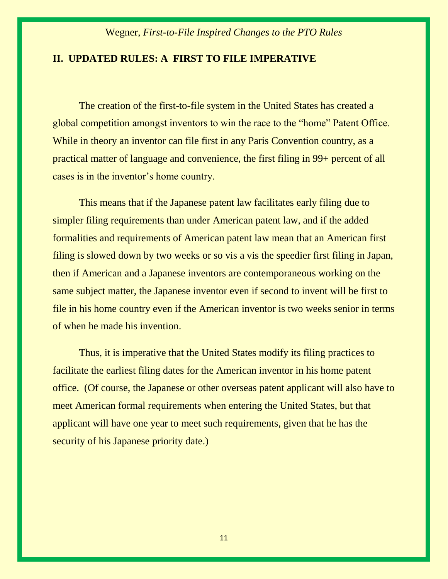#### **II. UPDATED RULES: A FIRST TO FILE IMPERATIVE**

The creation of the first-to-file system in the United States has created a global competition amongst inventors to win the race to the "home" Patent Office. While in theory an inventor can file first in any Paris Convention country, as a practical matter of language and convenience, the first filing in 99+ percent of all cases is in the inventor's home country.

This means that if the Japanese patent law facilitates early filing due to simpler filing requirements than under American patent law, and if the added formalities and requirements of American patent law mean that an American first filing is slowed down by two weeks or so vis a vis the speedier first filing in Japan, then if American and a Japanese inventors are contemporaneous working on the same subject matter, the Japanese inventor even if second to invent will be first to file in his home country even if the American inventor is two weeks senior in terms of when he made his invention.

Thus, it is imperative that the United States modify its filing practices to facilitate the earliest filing dates for the American inventor in his home patent office. (Of course, the Japanese or other overseas patent applicant will also have to meet American formal requirements when entering the United States, but that applicant will have one year to meet such requirements, given that he has the security of his Japanese priority date.)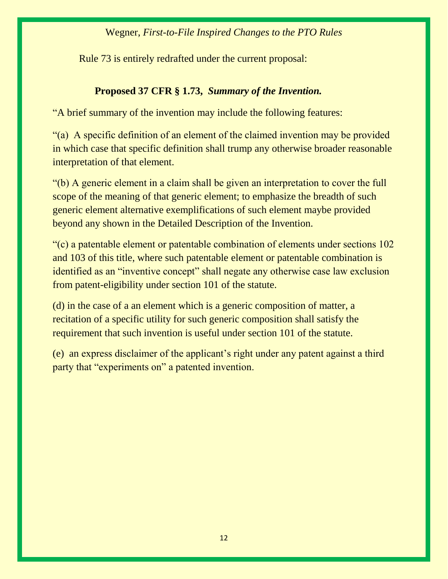Rule 73 is entirely redrafted under the current proposal:

# **Proposed 37 CFR § 1.73,** *Summary of the Invention.*

"A brief summary of the invention may include the following features:

"(a) A specific definition of an element of the claimed invention may be provided in which case that specific definition shall trump any otherwise broader reasonable interpretation of that element.

"(b) A generic element in a claim shall be given an interpretation to cover the full scope of the meaning of that generic element; to emphasize the breadth of such generic element alternative exemplifications of such element maybe provided beyond any shown in the Detailed Description of the Invention.

"(c) a patentable element or patentable combination of elements under sections 102 and 103 of this title, where such patentable element or patentable combination is identified as an "inventive concept" shall negate any otherwise case law exclusion from patent-eligibility under section 101 of the statute.

(d) in the case of a an element which is a generic composition of matter, a recitation of a specific utility for such generic composition shall satisfy the requirement that such invention is useful under section 101 of the statute.

(e) an express disclaimer of the applicant's right under any patent against a third party that "experiments on" a patented invention.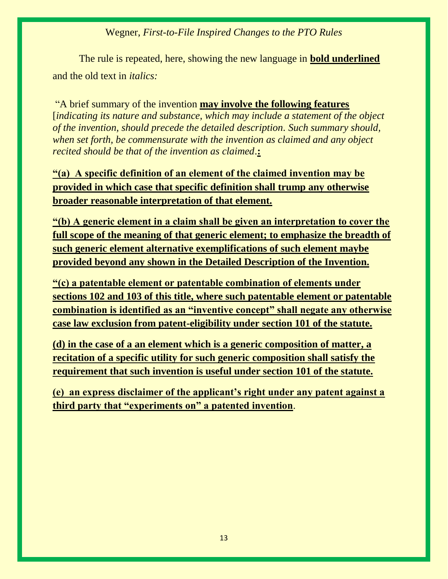The rule is repeated, here, showing the new language in **bold underlined** and the old text in *italics:*

"A brief summary of the invention **may involve the following features**  [*indicating its nature and substance, which may include a statement of the object of the invention, should precede the detailed description. Such summary should, when set forth, be commensurate with the invention as claimed and any object recited should be that of the invention as claimed*.**:** 

**"(a) A specific definition of an element of the claimed invention may be provided in which case that specific definition shall trump any otherwise broader reasonable interpretation of that element.**

**"(b) A generic element in a claim shall be given an interpretation to cover the full scope of the meaning of that generic element; to emphasize the breadth of such generic element alternative exemplifications of such element maybe provided beyond any shown in the Detailed Description of the Invention.**

**"(c) a patentable element or patentable combination of elements under sections 102 and 103 of this title, where such patentable element or patentable combination is identified as an "inventive concept" shall negate any otherwise case law exclusion from patent-eligibility under section 101 of the statute.**

**(d) in the case of a an element which is a generic composition of matter, a recitation of a specific utility for such generic composition shall satisfy the requirement that such invention is useful under section 101 of the statute.**

**(e) an express disclaimer of the applicant's right under any patent against a third party that "experiments on" a patented invention**.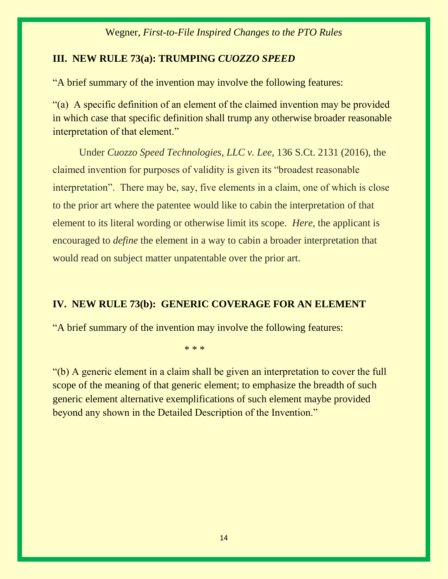# **III. NEW RULE 73(a): TRUMPING** *CUOZZO SPEED*

"A brief summary of the invention may involve the following features:

"(a) A specific definition of an element of the claimed invention may be provided in which case that specific definition shall trump any otherwise broader reasonable interpretation of that element."

Under *Cuozzo Speed Technologies, LLC v. Lee*, 136 S.Ct. 2131 (2016), the claimed invention for purposes of validity is given its "broadest reasonable interpretation". There may be, say, five elements in a claim, one of which is close to the prior art where the patentee would like to cabin the interpretation of that element to its literal wording or otherwise limit its scope. *Here,* the applicant is encouraged to *define* the element in a way to cabin a broader interpretation that would read on subject matter unpatentable over the prior art.

# **IV. NEW RULE 73(b): GENERIC COVERAGE FOR AN ELEMENT**

"A brief summary of the invention may involve the following features:

\* \* \*

"(b) A generic element in a claim shall be given an interpretation to cover the full scope of the meaning of that generic element; to emphasize the breadth of such generic element alternative exemplifications of such element maybe provided beyond any shown in the Detailed Description of the Invention."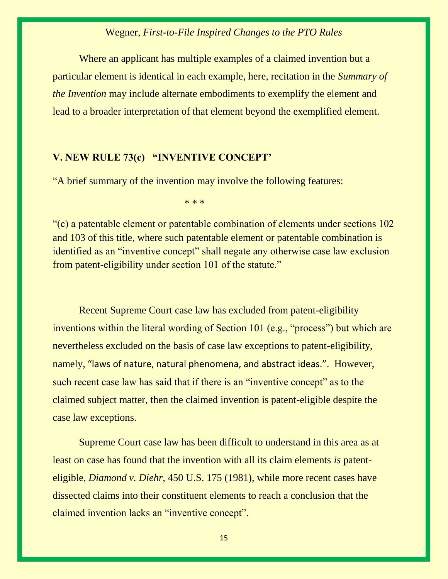Where an applicant has multiple examples of a claimed invention but a particular element is identical in each example, here, recitation in the *Summary of the Invention* may include alternate embodiments to exemplify the element and lead to a broader interpretation of that element beyond the exemplified element.

### **V. NEW RULE 73(c) "INVENTIVE CONCEPT'**

"A brief summary of the invention may involve the following features:

\* \* \*

"(c) a patentable element or patentable combination of elements under sections 102 and 103 of this title, where such patentable element or patentable combination is identified as an "inventive concept" shall negate any otherwise case law exclusion from patent-eligibility under section 101 of the statute."

Recent Supreme Court case law has excluded from patent-eligibility inventions within the literal wording of Section 101 (e.g., "process") but which are nevertheless excluded on the basis of case law exceptions to patent-eligibility, namely, "laws of nature, natural phenomena, and abstract ideas.". However, such recent case law has said that if there is an "inventive concept" as to the claimed subject matter, then the claimed invention is patent-eligible despite the case law exceptions.

Supreme Court case law has been difficult to understand in this area as at least on case has found that the invention with all its claim elements *is* patenteligible, *Diamond v. Diehr,* 450 U.S. 175 (1981), while more recent cases have dissected claims into their constituent elements to reach a conclusion that the claimed invention lacks an "inventive concept".

15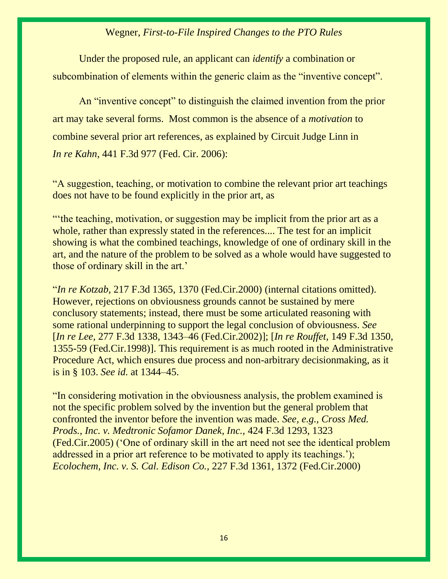Under the proposed rule, an applicant can *identify* a combination or subcombination of elements within the generic claim as the "inventive concept".

An "inventive concept" to distinguish the claimed invention from the prior art may take several forms. Most common is the absence of a *motivation* to combine several prior art references, as explained by Circuit Judge Linn in *In re [Kahn](https://1.next.westlaw.com/Document/Id8675ed8b9a011dab6b19d807577f4c3/View/FullText.html?listSource=Search&navigationPath=Search%2fv3%2fsearch%2fresults%2fnavigation%2fi0ad7403600000159f20c694ba86f85e3%3fNav%3dCASE%26fragmentIdentifier%3dId8675ed8b9a011dab6b19d807577f4c3%26startIndex%3d1%26contextData%3d%2528sc.Search%2529%26transitionType%3dSearchItem&list=ALL&rank=1&listPageSource=db75860ebbd15f5936fe6621ffe9b397&originationContext=docHeader&contextData=(sc.DocLink)&transitionType=Document&needToInjectTerms=False&enableBestPortion=True&docSource=07a918d568e54969b58ba4317afbd4ec)*, 441 F.3d 977 (Fed. Cir. 2006):

"A suggestion, teaching, or motivation to combine the relevant prior art teachings does not have to be found explicitly in the prior art, as

"'the teaching, motivation, or suggestion may be implicit from the prior art as a whole, rather than expressly stated in the references.... The test for an implicit showing is what the combined teachings, knowledge of one of ordinary skill in the art, and the nature of the problem to be solved as a whole would have suggested to those of ordinary skill in the art.'

"*In re Kotzab,* [217 F.3d 1365, 1370 \(Fed.Cir.2000\)](https://1.next.westlaw.com/Link/Document/FullText?findType=Y&serNum=2000394638&pubNum=0000506&originatingDoc=Id8675ed8b9a011dab6b19d807577f4c3&refType=RP&fi=co_pp_sp_506_1370&originationContext=document&transitionType=DocumentItem&contextData=(sc.Search)#co_pp_sp_506_1370) (internal citations omitted). However, rejections on obviousness grounds cannot be sustained by mere conclusory statements; instead, there must be some articulated reasoning with some rational underpinning to support the legal conclusion of obviousness. *See*  [*In re Lee,* 277 F.3d 1338, 1343–46 (Fed.Cir.2002)]; [*In re Rouffet,* [149 F.3d 1350,](https://1.next.westlaw.com/Link/Document/FullText?findType=Y&serNum=1998151226&pubNum=0000506&originatingDoc=Id8675ed8b9a011dab6b19d807577f4c3&refType=RP&originationContext=document&transitionType=DocumentItem&contextData=(sc.DocLink))  [1355-59 \(Fed.Cir.1998\)\]](https://1.next.westlaw.com/Link/Document/FullText?findType=Y&serNum=1998151226&pubNum=0000506&originatingDoc=Id8675ed8b9a011dab6b19d807577f4c3&refType=RP&originationContext=document&transitionType=DocumentItem&contextData=(sc.DocLink)). This requirement is as much rooted in the Administrative Procedure Act, which ensures due process and non-arbitrary decisionmaking, as it is in [§ 103.](https://1.next.westlaw.com/Link/Document/FullText?findType=L&pubNum=1000546&cite=35USCAS103&originatingDoc=Id8675ed8b9a011dab6b19d807577f4c3&refType=LQ&originationContext=document&transitionType=DocumentItem&contextData=(sc.Search)) *See id.* [at 1344](https://1.next.westlaw.com/Link/Document/FullText?findType=Y&serNum=2002081786&pubNum=0000506&originatingDoc=Id8675ed8b9a011dab6b19d807577f4c3&refType=RP&fi=co_pp_sp_506_1344&originationContext=document&transitionType=DocumentItem&contextData=(sc.Search)#co_pp_sp_506_1344)–45.

"In considering motivation in the obviousness analysis, the problem examined is not the specific problem solved by the invention but the general problem that confronted the inventor before the invention was made. *See, e.g., [Cross Med.](https://1.next.westlaw.com/Link/Document/FullText?findType=Y&serNum=2007407457&pubNum=0000506&originatingDoc=Id8675ed8b9a011dab6b19d807577f4c3&refType=RP&fi=co_pp_sp_506_1323&originationContext=document&transitionType=DocumentItem&contextData=(sc.Search)#co_pp_sp_506_1323)  [Prods., Inc. v. Medtronic Sofamor Danek, Inc.,](https://1.next.westlaw.com/Link/Document/FullText?findType=Y&serNum=2007407457&pubNum=0000506&originatingDoc=Id8675ed8b9a011dab6b19d807577f4c3&refType=RP&fi=co_pp_sp_506_1323&originationContext=document&transitionType=DocumentItem&contextData=(sc.Search)#co_pp_sp_506_1323)* 424 F.3d 1293, 1323 [\(Fed.Cir.2005\)](https://1.next.westlaw.com/Link/Document/FullText?findType=Y&serNum=2007407457&pubNum=0000506&originatingDoc=Id8675ed8b9a011dab6b19d807577f4c3&refType=RP&fi=co_pp_sp_506_1323&originationContext=document&transitionType=DocumentItem&contextData=(sc.Search)#co_pp_sp_506_1323) ('One of ordinary skill in the art need not see the identical problem addressed in a prior art reference to be motivated to apply its teachings.'); *[Ecolochem, Inc. v. S. Cal. Edison Co.,](https://1.next.westlaw.com/Link/Document/FullText?findType=Y&serNum=2000514532&pubNum=0000506&originatingDoc=Id8675ed8b9a011dab6b19d807577f4c3&refType=RP&fi=co_pp_sp_506_1372&originationContext=document&transitionType=DocumentItem&contextData=(sc.Search)#co_pp_sp_506_1372)* 227 F.3d 1361, 1372 (Fed.Cir.2000)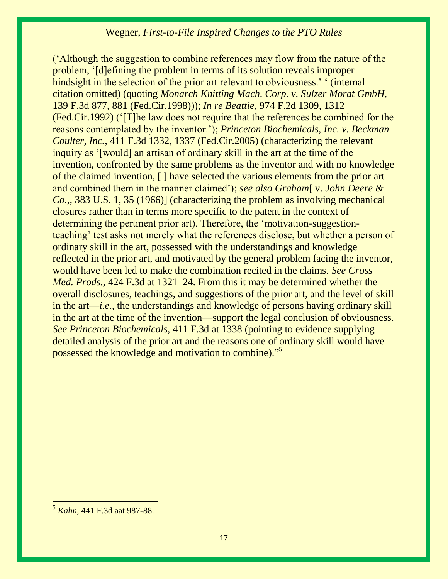('Although the suggestion to combine references may flow from the nature of the problem, '[d]efining the problem in terms of its solution reveals improper hindsight in the selection of the prior art relevant to obviousness.' ' (internal citation omitted) (quoting *[Monarch Knitting Mach. Corp. v. Sulzer Morat GmbH,](https://1.next.westlaw.com/Link/Document/FullText?findType=Y&serNum=1998072513&pubNum=0000506&originatingDoc=Id8675ed8b9a011dab6b19d807577f4c3&refType=RP&fi=co_pp_sp_506_881&originationContext=document&transitionType=DocumentItem&contextData=(sc.Search)#co_pp_sp_506_881)* [139 F.3d 877, 881 \(Fed.Cir.1998\)\)](https://1.next.westlaw.com/Link/Document/FullText?findType=Y&serNum=1998072513&pubNum=0000506&originatingDoc=Id8675ed8b9a011dab6b19d807577f4c3&refType=RP&fi=co_pp_sp_506_881&originationContext=document&transitionType=DocumentItem&contextData=(sc.Search)#co_pp_sp_506_881)); *In re Beattie,* [974 F.2d 1309, 1312](https://1.next.westlaw.com/Link/Document/FullText?findType=Y&serNum=1992156025&pubNum=0000350&originatingDoc=Id8675ed8b9a011dab6b19d807577f4c3&refType=RP&fi=co_pp_sp_350_1312&originationContext=document&transitionType=DocumentItem&contextData=(sc.Search)#co_pp_sp_350_1312)  [\(Fed.Cir.1992\)](https://1.next.westlaw.com/Link/Document/FullText?findType=Y&serNum=1992156025&pubNum=0000350&originatingDoc=Id8675ed8b9a011dab6b19d807577f4c3&refType=RP&fi=co_pp_sp_350_1312&originationContext=document&transitionType=DocumentItem&contextData=(sc.Search)#co_pp_sp_350_1312) ('[T]he law does not require that the references be combined for the reasons contemplated by the inventor.'); *[Princeton Biochemicals, Inc. v. Beckman](https://1.next.westlaw.com/Link/Document/FullText?findType=Y&serNum=2006765358&pubNum=0000506&originatingDoc=Id8675ed8b9a011dab6b19d807577f4c3&refType=RP&fi=co_pp_sp_506_1337&originationContext=document&transitionType=DocumentItem&contextData=(sc.Search)#co_pp_sp_506_1337)  Coulter, Inc.,* [411 F.3d 1332, 1337 \(Fed.Cir.2005\)](https://1.next.westlaw.com/Link/Document/FullText?findType=Y&serNum=2006765358&pubNum=0000506&originatingDoc=Id8675ed8b9a011dab6b19d807577f4c3&refType=RP&fi=co_pp_sp_506_1337&originationContext=document&transitionType=DocumentItem&contextData=(sc.Search)#co_pp_sp_506_1337) (characterizing the relevant inquiry as '[would] an artisan of ordinary skill in the art at the time of the invention, confronted by the same problems as the inventor and with no knowledge of the claimed invention, [ ] have selected the various elements from the prior art and combined them in the manner claimed'); *see also Graham*[ v. *[John Deere &](https://1.next.westlaw.com/Link/Document/FullText?findType=Y&serNum=1966112593&pubNum=0000708&originatingDoc=Id8675ed8b9a011dab6b19d807577f4c3&refType=RP&originationContext=document&transitionType=DocumentItem&contextData=(sc.Search))  Co.,,* [383 U.S. 1, 35 \(1966\)\]](https://1.next.westlaw.com/Link/Document/FullText?findType=Y&serNum=1966112593&pubNum=0000708&originatingDoc=Id8675ed8b9a011dab6b19d807577f4c3&refType=RP&originationContext=document&transitionType=DocumentItem&contextData=(sc.Search)) (characterizing the problem as involving mechanical closures rather than in terms more specific to the patent in the context of determining the pertinent prior art). Therefore, the 'motivation-suggestionteaching' test asks not merely what the references disclose, but whether a person of ordinary skill in the art, possessed with the understandings and knowledge reflected in the prior art, and motivated by the general problem facing the inventor, would have been led to make the combination recited in the claims. *See [Cross](https://1.next.westlaw.com/Link/Document/FullText?findType=Y&serNum=2007407457&pubNum=506&originatingDoc=Id8675ed8b9a011dab6b19d807577f4c3&refType=RP&fi=co_pp_sp_506_1321&originationContext=document&transitionType=DocumentItem&contextData=(sc.Search)#co_pp_sp_506_1321)  Med. Prods.,* [424 F.3d at 1321](https://1.next.westlaw.com/Link/Document/FullText?findType=Y&serNum=2007407457&pubNum=506&originatingDoc=Id8675ed8b9a011dab6b19d807577f4c3&refType=RP&fi=co_pp_sp_506_1321&originationContext=document&transitionType=DocumentItem&contextData=(sc.Search)#co_pp_sp_506_1321)–24. From this it may be determined whether the overall disclosures, teachings, and suggestions of the prior art, and the level of skill in the art—*i.e.,* the understandings and knowledge of persons having ordinary skill in the art at the time of the invention—support the legal conclusion of obviousness. *See [Princeton Biochemicals,](https://1.next.westlaw.com/Link/Document/FullText?findType=Y&serNum=2006765358&pubNum=0000506&originatingDoc=Id8675ed8b9a011dab6b19d807577f4c3&refType=RP&fi=co_pp_sp_506_1338&originationContext=document&transitionType=DocumentItem&contextData=(sc.Search)#co_pp_sp_506_1338)* 411 F.3d at 1338 (pointing to evidence supplying detailed analysis of the prior art and the reasons one of ordinary skill would have possessed the knowledge and motivation to combine)."<sup>5</sup>

 $\overline{a}$ 

<sup>5</sup> *[Kahn](https://1.next.westlaw.com/Document/Id8675ed8b9a011dab6b19d807577f4c3/View/FullText.html?listSource=Search&navigationPath=Search%2fv3%2fsearch%2fresults%2fnavigation%2fi0ad7403600000159f20c694ba86f85e3%3fNav%3dCASE%26fragmentIdentifier%3dId8675ed8b9a011dab6b19d807577f4c3%26startIndex%3d1%26contextData%3d%2528sc.Search%2529%26transitionType%3dSearchItem&list=ALL&rank=1&listPageSource=db75860ebbd15f5936fe6621ffe9b397&originationContext=docHeader&contextData=(sc.DocLink)&transitionType=Document&needToInjectTerms=False&enableBestPortion=True&docSource=07a918d568e54969b58ba4317afbd4ec)*, 441 F.3d aat 987-88.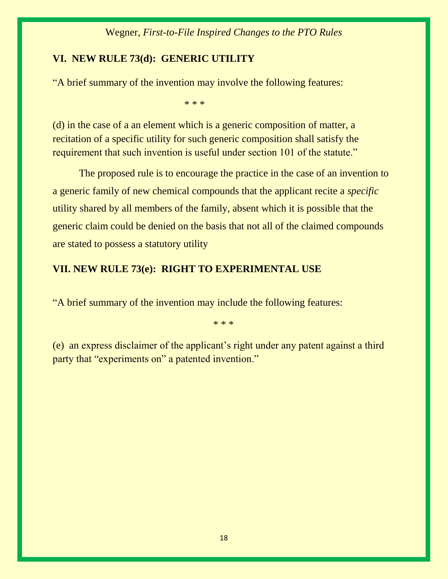# **VI. NEW RULE 73(d): GENERIC UTILITY**

"A brief summary of the invention may involve the following features:

\* \* \*

(d) in the case of a an element which is a generic composition of matter, a recitation of a specific utility for such generic composition shall satisfy the requirement that such invention is useful under section 101 of the statute."

The proposed rule is to encourage the practice in the case of an invention to a generic family of new chemical compounds that the applicant recite a *specific*  utility shared by all members of the family, absent which it is possible that the generic claim could be denied on the basis that not all of the claimed compounds are stated to possess a statutory utility

# **VII. NEW RULE 73(e): RIGHT TO EXPERIMENTAL USE**

"A brief summary of the invention may include the following features:

\* \* \*

(e) an express disclaimer of the applicant's right under any patent against a third party that "experiments on" a patented invention."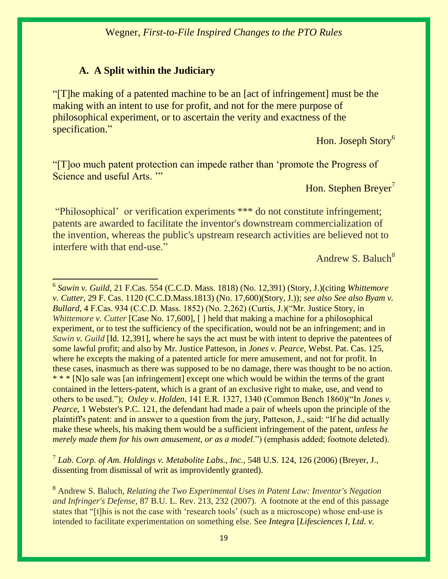# **A. A Split within the Judiciary**

"[T]he making of a patented machine to be an [act of infringement] must be the making with an intent to use for profit, and not for the mere purpose of philosophical experiment, or to ascertain the verity and exactness of the specification."

Hon. Joseph Story<sup>6</sup>

"[T]oo much patent protection can impede rather than 'promote the Progress of Science and useful Arts. ""

Hon. Stephen Breyer<sup>7</sup>

"Philosophical' or verification experiments \*\*\* do not constitute infringement; patents are awarded to facilitate the inventor's downstream commercialization of the invention, whereas the public's upstream research activities are believed not to interfere with that end-use."

Andrew S. Baluch $8<sup>8</sup>$ 

7 *Lab. Corp. of Am. Holdings v. Metabolite Labs., Inc.,* 548 U.S. 124, 126 (2006) (Breyer, J., dissenting from dismissal of writ as improvidently granted).

 6 *Sawin v. Guild*, 21 F.Cas. 554 (C.C.D. Mass. 1818) (No. 12,391) (Story, J.)(citing *Whittemore v. Cutter*, 29 F. Cas. 1120 (C.C.D.Mass.1813) (No. 17,600)(Story, J.)); *see also See also Byam v. Bullard*, 4 F.Cas. 934 (C.C.D. Mass. 1852) (No. 2,262) (Curtis, J.)("Mr. Justice Story, in *Whittemore v. Cutter* [Case No. 17,600], [ ] held that making a machine for a philosophical experiment, or to test the sufficiency of the specification, would not be an infringement; and in *Sawin v. Guild* [Id. 12,391], where he says the act must be with intent to deprive the patentees of some lawful profit; and also by Mr. Justice Patteson, in *Jones v. Pearce*, Webst. Pat. Cas. 125, where he excepts the making of a patented article for mere amusement, and not for profit. In these cases, inasmuch as there was supposed to be no damage, there was thought to be no action. \* \* \* [N]o sale was [an infringement] except one which would be within the terms of the grant contained in the letters-patent, which is a grant of an exclusive right to make, use, and vend to others to be used."); *Oxley v. Holden*, 141 E.R. 1327, 1340 (Common Bench 1860)("In *Jones v. Pearce*, 1 Webster's P.C. 121, the defendant had made a pair of wheels upon the principle of the plaintiff's patent: and in answer to a question from the jury, Patteson, J., said: "If he did actually make these wheels, his making them would be a sufficient infringement of the patent, *unless he merely made them for his own amusement, or as a model*.") (emphasis added; footnote deleted).

<sup>8</sup> Andrew S. Baluch, *Relating the Two Experimental Uses in Patent Law: Inventor's Negation and Infringer's Defense,* 87 B.U. L. Rev. 213, 232 (2007). A footnote at the end of this passage states that "[t]his is not the case with 'research tools' (such as a microscope) whose end-use is intended to facilitate experimentation on something else. See *Integra* [*[Lifesciences I, Ltd. v.](https://1.next.westlaw.com/Document/I15e1086689dc11d9b6ea9f5a173c4523/View/FullText.html?listSource=Search&navigationPath=Search%2fv3%2fsearch%2fresults%2fnavigation%2fi0ad740140000015626bb5187e527d465%3fNav%3dCASE%26fragmentIdentifier%3dI15e1086689dc11d9b6ea9f5a173c4523%26startIndex%3d1%26contextData%3d%2528sc.Search%2529%26transitionType%3dSearchItem&list=ALL&rank=1&listPageSource=652e164e8ea73ad28dbef0be64f4224c&originationContext=docHeader&contextData=(sc.Search)&transitionType=Document&needToInjectTerms=False&docSource=3fd71c5211814e59944028932d33f150)*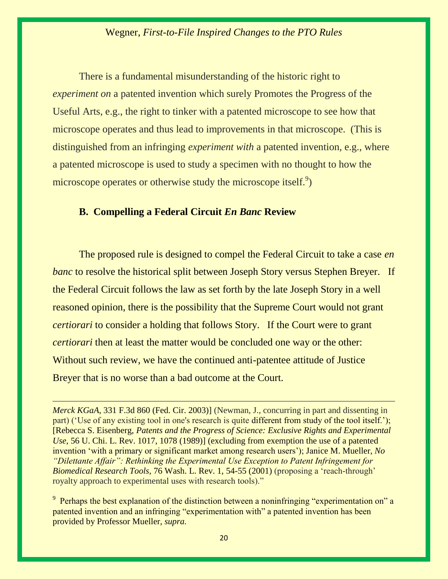There is a fundamental misunderstanding of the historic right to *experiment on* a patented invention which surely Promotes the Progress of the Useful Arts, e.g., the right to tinker with a patented microscope to see how that microscope operates and thus lead to improvements in that microscope. (This is distinguished from an infringing *experiment with* a patented invention, e.g., where a patented microscope is used to study a specimen with no thought to how the microscope operates or otherwise study the microscope itself.<sup>9</sup>)

# **B. Compelling a Federal Circuit** *En Banc* **Review**

 $\overline{a}$ 

The proposed rule is designed to compel the Federal Circuit to take a case *en banc* to resolve the historical split between Joseph Story versus Stephen Breyer. If the Federal Circuit follows the law as set forth by the late Joseph Story in a well reasoned opinion, there is the possibility that the Supreme Court would not grant *certiorari* to consider a holding that follows Story. If the Court were to grant *certiorari* then at least the matter would be concluded one way or the other: Without such review, we have the continued anti-patentee attitude of Justice Breyer that is no worse than a bad outcome at the Court.

*Merck KGaA*, 331 F.3d 860 (Fed. Cir. 2003)] (Newman, J., concurring in part and dissenting in part) ('Use of any existing tool in one's research is quite different from study of the tool itself.'); [Rebecca S. Eisenberg, *Patents and the Progress of Science: Exclusive Rights and Experimental Use*, 56 U. Chi. L. Rev. 1017, 1078 (1989)] (excluding from exemption the use of a patented invention 'with a primary or significant market among research users'); Janice M. Mueller, *[No](https://1.next.westlaw.com/Link/Document/FullText?findType=Y&serNum=0283347243&pubNum=1281&originatingDoc=I0aecae21197a11dc9209d68a20b39a3a&refType=LR&fi=co_pp_sp_1281_54&originationContext=document&transitionType=DocumentItem&contextData=(sc.Search)#co_pp_sp_1281_54)  ["Dilettante Affair": Rethinking the Experimental Use Exception to Patent Infringement for](https://1.next.westlaw.com/Link/Document/FullText?findType=Y&serNum=0283347243&pubNum=1281&originatingDoc=I0aecae21197a11dc9209d68a20b39a3a&refType=LR&fi=co_pp_sp_1281_54&originationContext=document&transitionType=DocumentItem&contextData=(sc.Search)#co_pp_sp_1281_54)  Biomedical Research Tools*[, 76 Wash. L. Rev. 1, 54-55 \(2001\)](https://1.next.westlaw.com/Link/Document/FullText?findType=Y&serNum=0283347243&pubNum=1281&originatingDoc=I0aecae21197a11dc9209d68a20b39a3a&refType=LR&fi=co_pp_sp_1281_54&originationContext=document&transitionType=DocumentItem&contextData=(sc.Search)#co_pp_sp_1281_54) (proposing a 'reach-through' royalty approach to experimental uses with research tools)."

 $9$  Perhaps the best explanation of the distinction between a noninfringing "experimentation on" a patented invention and an infringing "experimentation with" a patented invention has been provided by Professor Mueller, *supra.*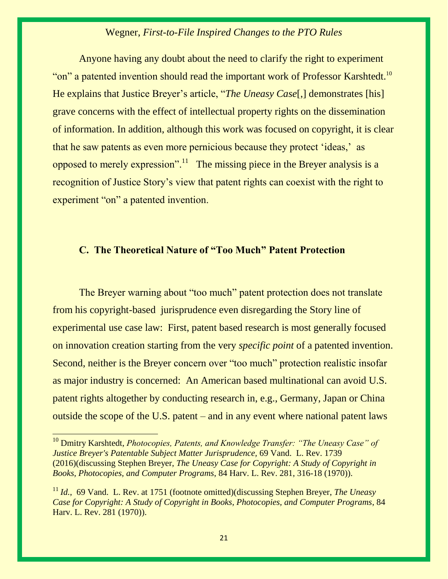Anyone having any doubt about the need to clarify the right to experiment "on" a patented invention should read the important work of Professor Karshtedt.<sup>10</sup> He explains that Justice Breyer's article, "*The Uneasy Case*[,] demonstrates [his] grave concerns with the effect of intellectual property rights on the dissemination of information. In addition, although this work was focused on copyright, it is clear that he saw patents as even more pernicious because they protect 'ideas,' as opposed to merely expression".<sup>11</sup> The missing piece in the Breyer analysis is a recognition of Justice Story's view that patent rights can coexist with the right to experiment "on" a patented invention.

# **C. The Theoretical Nature of "Too Much" Patent Protection**

The Breyer warning about "too much" patent protection does not translate from his copyright-based jurisprudence even disregarding the Story line of experimental use case law: First, patent based research is most generally focused on innovation creation starting from the very *specific point* of a patented invention. Second, neither is the Breyer concern over "too much" protection realistic insofar as major industry is concerned: An American based multinational can avoid U.S. patent rights altogether by conducting research in, e.g., Germany, Japan or China outside the scope of the U.S. patent – and in any event where national patent laws

<sup>10</sup> [Dmitry Karshtedt,](https://1.next.westlaw.com/Link/Document/FullText?findType=h&pubNum=176284&cite=0457348401&originatingDoc=I4cb9e659c71911e698dc8b09b4f043e0&refType=RQ&originationContext=document&transitionType=DocumentItem&contextData=(sc.Default)) *Photocopies, Patents, and Knowledge Transfer: "The Uneasy Case" of Justice Breyer's Patentable Subject Matter Jurisprudence,* 69 Vand. L. Rev. 1739 (2016)(discussing Stephen Breyer, *The Uneasy Case for Copyright: A Study of Copyright in Books, Photocopies, and Computer Programs*, 84 Harv. L. Rev. 281, 316-18 (1970)).

 $\overline{a}$ 

<sup>11</sup> *[Id.](https://1.next.westlaw.com/Link/Document/FullText?findType=h&pubNum=176284&cite=0457348401&originatingDoc=I4cb9e659c71911e698dc8b09b4f043e0&refType=RQ&originationContext=document&transitionType=DocumentItem&contextData=(sc.Default))*,69 Vand. L. Rev. at 1751 (footnote omitted)(discussing Stephen Breyer, *The Uneasy Case for Copyright: A Study of Copyright in Books, Photocopies, and Computer Programs*, 84 Harv. L. Rev. 281 (1970)).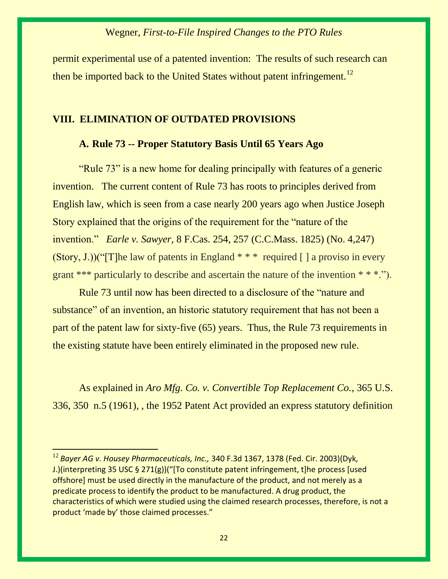permit experimental use of a patented invention: The results of such research can then be imported back to the United States without patent infringement.<sup>12</sup>

#### **VIII. ELIMINATION OF OUTDATED PROVISIONS**

### **A. Rule 73 -- Proper Statutory Basis Until 65 Years Ago**

"Rule 73" is a new home for dealing principally with features of a generic invention. The current content of Rule 73 has roots to principles derived from English law, which is seen from a case nearly 200 years ago when Justice Joseph Story explained that the origins of the requirement for the "nature of the invention." *Earle v. Sawyer,* 8 F.Cas. 254, 257 (C.C.Mass. 1825) (No. 4,247)  $(Story, J.)(T]$ he law of patents in England \* \* \* required [ ] a proviso in every grant \*\*\* particularly to describe and ascertain the nature of the invention \* \* \*.").

Rule 73 until now has been directed to a disclosure of the "nature and substance" of an invention, an historic statutory requirement that has not been a part of the patent law for sixty-five (65) years. Thus, the Rule 73 requirements in the existing statute have been entirely eliminated in the proposed new rule.

As explained in *Aro Mfg. Co. v. Convertible Top Replacement Co.*, 365 U.S. 336, 350 n.5 (1961), , the 1952 Patent Act provided an express statutory definition

<sup>12</sup> *Bayer AG v. Housey Pharmaceuticals, Inc.,* 340 F.3d 1367, 1378 (Fed. Cir. 2003)(Dyk, J.)(interpreting 35 USC § 271(g))("[To constitute patent infringement, t]he process [used offshore] must be used directly in the manufacture of the product, and not merely as a predicate process to identify the product to be manufactured. A drug product, the characteristics of which were studied using the claimed research processes, therefore, is not a product 'made by' those claimed processes."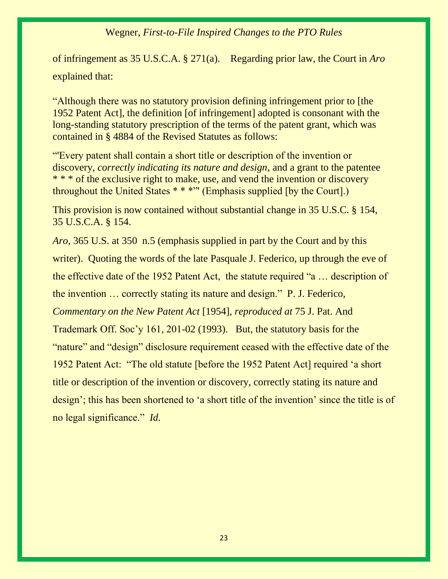of infringement as 35 U.S.C.A. § 271(a). Regarding prior law, the Court in *Aro*  explained that:

"Although there was no statutory provision defining infringement prior to [the 1952 Patent Act], the definition [of infringement] adopted is consonant with the long-standing statutory prescription of the terms of the patent grant, which was contained in § 4884 of the Revised Statutes as follows:

"'Every patent shall contain a short title or description of the invention or discovery, *correctly indicating its nature and design*, and a grant to the patentee \* \* \* of the exclusive right to make, use, and vend the invention or discovery throughout the United States \* \* \*"' (Emphasis supplied [by the Court].)

This provision is now contained without substantial change in 35 U.S.C. § 154, 35 U.S.C.A. § 154.

*Aro*, 365 U.S. at 350 n.5 (emphasis supplied in part by the Court and by this writer). Quoting the words of the late Pasquale J. Federico, up through the eve of the effective date of the 1952 Patent Act, the statute required "a … description of the invention … correctly stating its nature and design." P. J. Federico, *Commentary on the New Patent Act* [1954]*, reproduced at* 75 J. Pat. And Trademark Off. Soc'y 161, 201-02 (1993). But, the statutory basis for the "nature" and "design" disclosure requirement ceased with the effective date of the 1952 Patent Act: "The old statute [before the 1952 Patent Act] required 'a short title or description of the invention or discovery, correctly stating its nature and design'; this has been shortened to 'a short title of the invention' since the title is of no legal significance." *Id.*